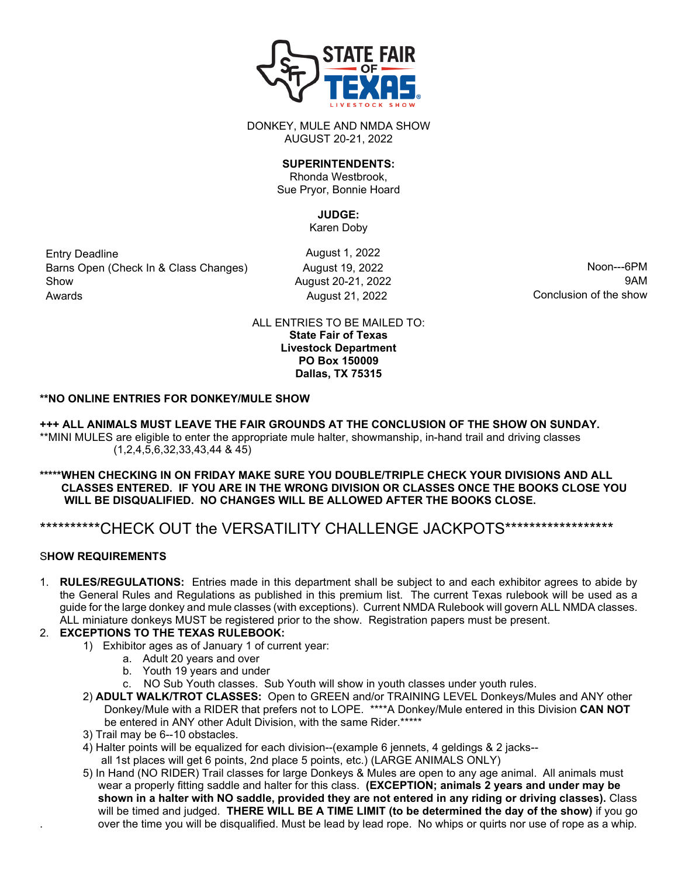

DONKEY, MULE AND NMDA SHOW AUGUST 20-21, 2022

### **SUPERINTENDENTS:**

Rhonda Westbrook, Sue Pryor, Bonnie Hoard

# **JUDGE:**

Karen Doby

Entry Deadline **August 1, 2022** Barns Open (Check In & Class Changes)  $\mu$  August 19, 2022 Noon---6PM Show **August 20-21, 2022** 9AM Awards **August 21, 2022** August 21, 2022 **Conclusion of the show** 

ALL ENTRIES TO BE MAILED TO: **State Fair of Texas Livestock Department PO Box 150009 Dallas, TX 75315**

## **\*\*NO ONLINE ENTRIES FOR DONKEY/MULE SHOW**

**+++ ALL ANIMALS MUST LEAVE THE FAIR GROUNDS AT THE CONCLUSION OF THE SHOW ON SUNDAY.** \*\*MINI MULES are eligible to enter the appropriate mule halter, showmanship, in-hand trail and driving classes (1,2,4,5,6,32,33,43,44 & 45)

#### **\*\*\*\*\*WHEN CHECKING IN ON FRIDAY MAKE SURE YOU DOUBLE/TRIPLE CHECK YOUR DIVISIONS AND ALL CLASSES ENTERED. IF YOU ARE IN THE WRONG DIVISION OR CLASSES ONCE THE BOOKS CLOSE YOU WILL BE DISQUALIFIED. NO CHANGES WILL BE ALLOWED AFTER THE BOOKS CLOSE.**

## \*\*\*\*\*\*\*\*\*\*\*CHECK OUT the VERSATILITY CHALLENGE JACKPOTS\*\*\*\*\*\*\*\*\*\*\*\*\*\*\*\*\*\*\*

## S**HOW REQUIREMENTS**

1. **RULES/REGULATIONS:** Entries made in this department shall be subject to and each exhibitor agrees to abide by the General Rules and Regulations as published in this premium list. The current Texas rulebook will be used as a guide for the large donkey and mule classes (with exceptions). Current NMDA Rulebook will govern ALL NMDA classes. ALL miniature donkeys MUST be registered prior to the show. Registration papers must be present.

## 2. **EXCEPTIONS TO THE TEXAS RULEBOOK:**

- 1) Exhibitor ages as of January 1 of current year:
	- a. Adult 20 years and over
	- b. Youth 19 years and under
	- c. NO Sub Youth classes. Sub Youth will show in youth classes under youth rules.
- 2) **ADULT WALK/TROT CLASSES:** Open to GREEN and/or TRAINING LEVEL Donkeys/Mules and ANY other Donkey/Mule with a RIDER that prefers not to LOPE. \*\*\*\*A Donkey/Mule entered in this Division **CAN NOT** be entered in ANY other Adult Division, with the same Rider.\*\*\*\*\*
- 3) Trail may be 6--10 obstacles.
- 4) Halter points will be equalized for each division--(example 6 jennets, 4 geldings & 2 jacks- all 1st places will get 6 points, 2nd place 5 points, etc.) (LARGE ANIMALS ONLY)
- 5) In Hand (NO RIDER) Trail classes for large Donkeys & Mules are open to any age animal. All animals must wear a properly fitting saddle and halter for this class. **(EXCEPTION; animals 2 years and under may be shown in a halter with NO saddle, provided they are not entered in any riding or driving classes).** Class will be timed and judged. **THERE WILL BE A TIME LIMIT (to be determined the day of the show)** if you go . over the time you will be disqualified. Must be lead by lead rope. No whips or quirts nor use of rope as a whip.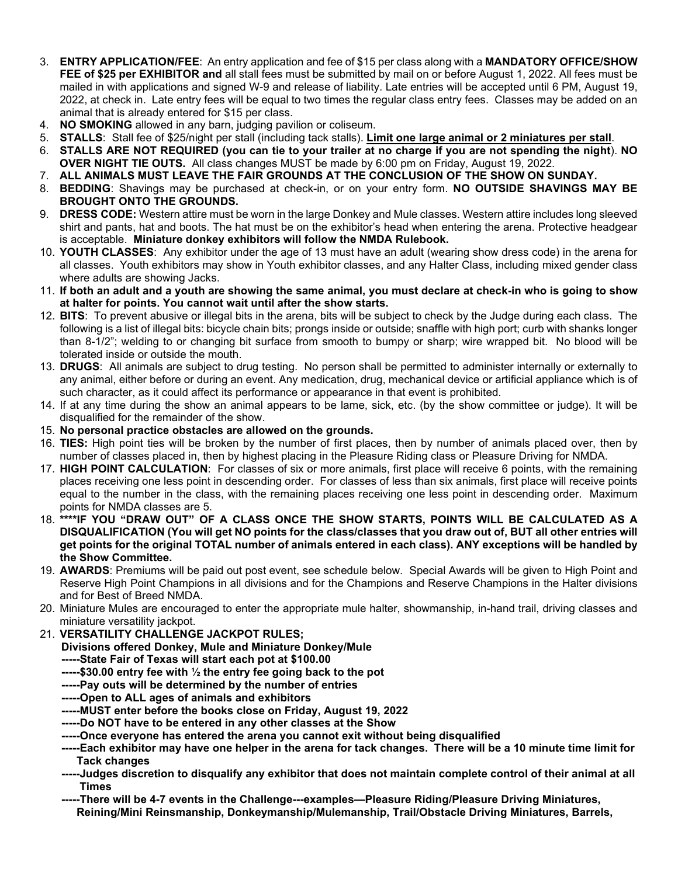- 3. **ENTRY APPLICATION/FEE**: An entry application and fee of \$15 per class along with a **MANDATORY OFFICE/SHOW FEE of \$25 per EXHIBITOR and** all stall fees must be submitted by mail on or before August 1, 2022. All fees must be mailed in with applications and signed W-9 and release of liability. Late entries will be accepted until 6 PM, August 19, 2022, at check in. Late entry fees will be equal to two times the regular class entry fees. Classes may be added on an animal that is already entered for \$15 per class.
- 4. **NO SMOKING** allowed in any barn, judging pavilion or coliseum.
- 5. **STALLS**: Stall fee of \$25/night per stall (including tack stalls). **Limit one large animal or 2 miniatures per stall**.
- 6. **STALLS ARE NOT REQUIRED (you can tie to your trailer at no charge if you are not spending the night**). **NO OVER NIGHT TIE OUTS.** All class changes MUST be made by 6:00 pm on Friday, August 19, 2022.
- 7. **ALL ANIMALS MUST LEAVE THE FAIR GROUNDS AT THE CONCLUSION OF THE SHOW ON SUNDAY.**
- 8. **BEDDING**: Shavings may be purchased at check-in, or on your entry form. **NO OUTSIDE SHAVINGS MAY BE BROUGHT ONTO THE GROUNDS.**
- 9. **DRESS CODE:** Western attire must be worn in the large Donkey and Mule classes. Western attire includes long sleeved shirt and pants, hat and boots. The hat must be on the exhibitor's head when entering the arena. Protective headgear is acceptable. **Miniature donkey exhibitors will follow the NMDA Rulebook.**
- 10. **YOUTH CLASSES**: Any exhibitor under the age of 13 must have an adult (wearing show dress code) in the arena for all classes. Youth exhibitors may show in Youth exhibitor classes, and any Halter Class, including mixed gender class where adults are showing Jacks.
- 11. **If both an adult and a youth are showing the same animal, you must declare at check-in who is going to show at halter for points. You cannot wait until after the show starts.**
- 12. **BITS**: To prevent abusive or illegal bits in the arena, bits will be subject to check by the Judge during each class. The following is a list of illegal bits: bicycle chain bits; prongs inside or outside; snaffle with high port; curb with shanks longer than 8-1/2"; welding to or changing bit surface from smooth to bumpy or sharp; wire wrapped bit. No blood will be tolerated inside or outside the mouth.
- 13. **DRUGS**: All animals are subject to drug testing. No person shall be permitted to administer internally or externally to any animal, either before or during an event. Any medication, drug, mechanical device or artificial appliance which is of such character, as it could affect its performance or appearance in that event is prohibited.
- 14. If at any time during the show an animal appears to be lame, sick, etc. (by the show committee or judge). It will be disqualified for the remainder of the show.
- 15. **No personal practice obstacles are allowed on the grounds.**
- 16. **TIES:** High point ties will be broken by the number of first places, then by number of animals placed over, then by number of classes placed in, then by highest placing in the Pleasure Riding class or Pleasure Driving for NMDA.
- 17. **HIGH POINT CALCULATION**: For classes of six or more animals, first place will receive 6 points, with the remaining places receiving one less point in descending order. For classes of less than six animals, first place will receive points equal to the number in the class, with the remaining places receiving one less point in descending order. Maximum points for NMDA classes are 5.
- 18. **\*\*\*\*IF YOU "DRAW OUT" OF A CLASS ONCE THE SHOW STARTS, POINTS WILL BE CALCULATED AS A DISQUALIFICATION (You will get NO points for the class/classes that you draw out of, BUT all other entries will get points for the original TOTAL number of animals entered in each class). ANY exceptions will be handled by the Show Committee.**
- 19. **AWARDS**: Premiums will be paid out post event, see schedule below. Special Awards will be given to High Point and Reserve High Point Champions in all divisions and for the Champions and Reserve Champions in the Halter divisions and for Best of Breed NMDA.
- 20. Miniature Mules are encouraged to enter the appropriate mule halter, showmanship, in-hand trail, driving classes and miniature versatility jackpot.
- 21. **VERSATILITY CHALLENGE JACKPOT RULES;**
	- **Divisions offered Donkey, Mule and Miniature Donkey/Mule**
	- **-----State Fair of Texas will start each pot at \$100.00**
	- **-----\$30.00 entry fee with ½ the entry fee going back to the pot**
	- **-----Pay outs will be determined by the number of entries**
	- **-----Open to ALL ages of animals and exhibitors**
	- **-----MUST enter before the books close on Friday, August 19, 2022**
	- **-----Do NOT have to be entered in any other classes at the Show**
	- **-----Once everyone has entered the arena you cannot exit without being disqualified**
	- **-----Each exhibitor may have one helper in the arena for tack changes. There will be a 10 minute time limit for Tack changes**
	- **-----Judges discretion to disqualify any exhibitor that does not maintain complete control of their animal at all Times**
	- **-----There will be 4-7 events in the Challenge---examples—Pleasure Riding/Pleasure Driving Miniatures, Reining/Mini Reinsmanship, Donkeymanship/Mulemanship, Trail/Obstacle Driving Miniatures, Barrels,**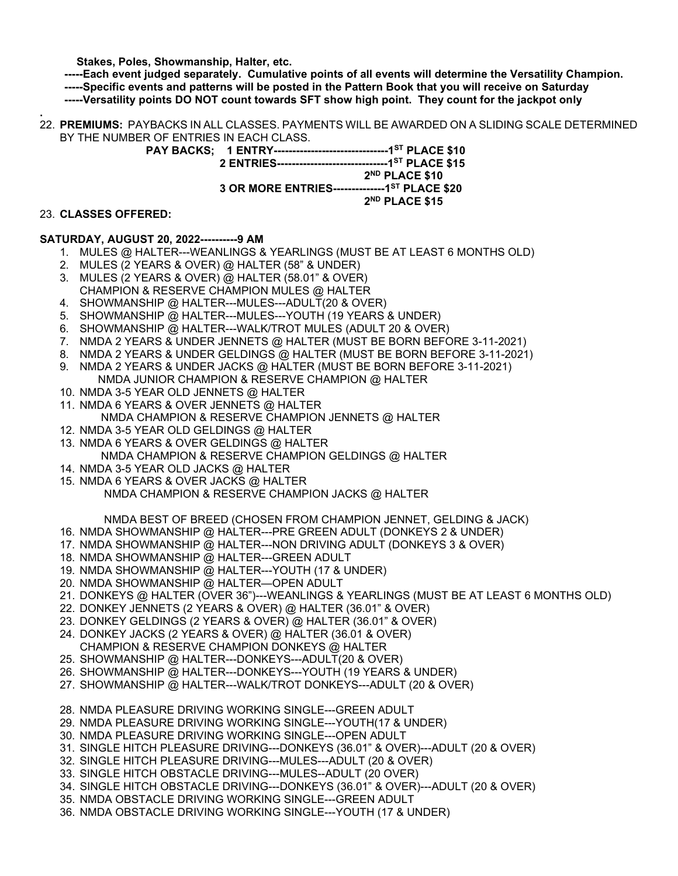**Stakes, Poles, Showmanship, Halter, etc.**

 **-----Each event judged separately. Cumulative points of all events will determine the Versatility Champion. -----Specific events and patterns will be posted in the Pattern Book that you will receive on Saturday -----Versatility points DO NOT count towards SFT show high point. They count for the jackpot only**

**.** 22. **PREMIUMS:** PAYBACKS IN ALL CLASSES. PAYMENTS WILL BE AWARDED ON A SLIDING SCALE DETERMINED BY THE NUMBER OF ENTRIES IN EACH CLASS.

> **PAY BACKS; 1 ENTRY-------------------------------1ST PLACE \$10 2 ENTRIES------------------------------1ST PLACE \$15 2ND PLACE \$10 3 OR MORE ENTRIES--------------1ST PLACE \$20 2ND PLACE \$15**

#### 23. **CLASSES OFFERED:**

#### **SATURDAY, AUGUST 20, 2022----------9 AM**

- 1. MULES @ HALTER---WEANLINGS & YEARLINGS (MUST BE AT LEAST 6 MONTHS OLD)
- 2. MULES (2 YEARS & OVER) @ HALTER (58" & UNDER)
- 3. MULES (2 YEARS & OVER) @ HALTER (58.01" & OVER) CHAMPION & RESERVE CHAMPION MULES @ HALTER
- 4. SHOWMANSHIP @ HALTER---MULES---ADULT(20 & OVER)
- 5. SHOWMANSHIP @ HALTER---MULES---YOUTH (19 YEARS & UNDER)
- 6. SHOWMANSHIP @ HALTER---WALK/TROT MULES (ADULT 20 & OVER)
- 7. NMDA 2 YEARS & UNDER JENNETS @ HALTER (MUST BE BORN BEFORE 3-11-2021)
- 8. NMDA 2 YEARS & UNDER GELDINGS @ HALTER (MUST BE BORN BEFORE 3-11-2021)
- 9. NMDA 2 YEARS & UNDER JACKS @ HALTER (MUST BE BORN BEFORE 3-11-2021) NMDA JUNIOR CHAMPION & RESERVE CHAMPION @ HALTER
- 10. NMDA 3-5 YEAR OLD JENNETS @ HALTER
- 11. NMDA 6 YEARS & OVER JENNETS @ HALTER
- NMDA CHAMPION & RESERVE CHAMPION JENNETS @ HALTER
- 12. NMDA 3-5 YEAR OLD GELDINGS @ HALTER
- 13. NMDA 6 YEARS & OVER GELDINGS @ HALTER NMDA CHAMPION & RESERVE CHAMPION GELDINGS @ HALTER
- 14. NMDA 3-5 YEAR OLD JACKS @ HALTER
- 15. NMDA 6 YEARS & OVER JACKS @ HALTER NMDA CHAMPION & RESERVE CHAMPION JACKS @ HALTER

#### NMDA BEST OF BREED (CHOSEN FROM CHAMPION JENNET, GELDING & JACK)

- 16. NMDA SHOWMANSHIP @ HALTER---PRE GREEN ADULT (DONKEYS 2 & UNDER)
- 17. NMDA SHOWMANSHIP @ HALTER---NON DRIVING ADULT (DONKEYS 3 & OVER)
- 18. NMDA SHOWMANSHIP @ HALTER---GREEN ADULT
- 19. NMDA SHOWMANSHIP @ HALTER---YOUTH (17 & UNDER)
- 20. NMDA SHOWMANSHIP @ HALTER—OPEN ADULT
- 21. DONKEYS @ HALTER (OVER 36")---WEANLINGS & YEARLINGS (MUST BE AT LEAST 6 MONTHS OLD)
- 22. DONKEY JENNETS (2 YEARS & OVER) @ HALTER (36.01" & OVER)
- 23. DONKEY GELDINGS (2 YEARS & OVER) @ HALTER (36.01" & OVER)
- 24. DONKEY JACKS (2 YEARS & OVER) @ HALTER (36.01 & OVER) CHAMPION & RESERVE CHAMPION DONKEYS @ HALTER
- 25. SHOWMANSHIP @ HALTER---DONKEYS---ADULT(20 & OVER)
- 26. SHOWMANSHIP @ HALTER---DONKEYS---YOUTH (19 YEARS & UNDER)
- 27. SHOWMANSHIP @ HALTER---WALK/TROT DONKEYS---ADULT (20 & OVER)
- 28. NMDA PLEASURE DRIVING WORKING SINGLE---GREEN ADULT
- 29. NMDA PLEASURE DRIVING WORKING SINGLE---YOUTH(17 & UNDER)
- 30. NMDA PLEASURE DRIVING WORKING SINGLE---OPEN ADULT
- 31. SINGLE HITCH PLEASURE DRIVING---DONKEYS (36.01" & OVER)---ADULT (20 & OVER)
- 32. SINGLE HITCH PLEASURE DRIVING---MULES---ADULT (20 & OVER)
- 33. SINGLE HITCH OBSTACLE DRIVING---MULES--ADULT (20 OVER)
- 34. SINGLE HITCH OBSTACLE DRIVING---DONKEYS (36.01" & OVER)---ADULT (20 & OVER)
- 35. NMDA OBSTACLE DRIVING WORKING SINGLE---GREEN ADULT
- 36. NMDA OBSTACLE DRIVING WORKING SINGLE---YOUTH (17 & UNDER)